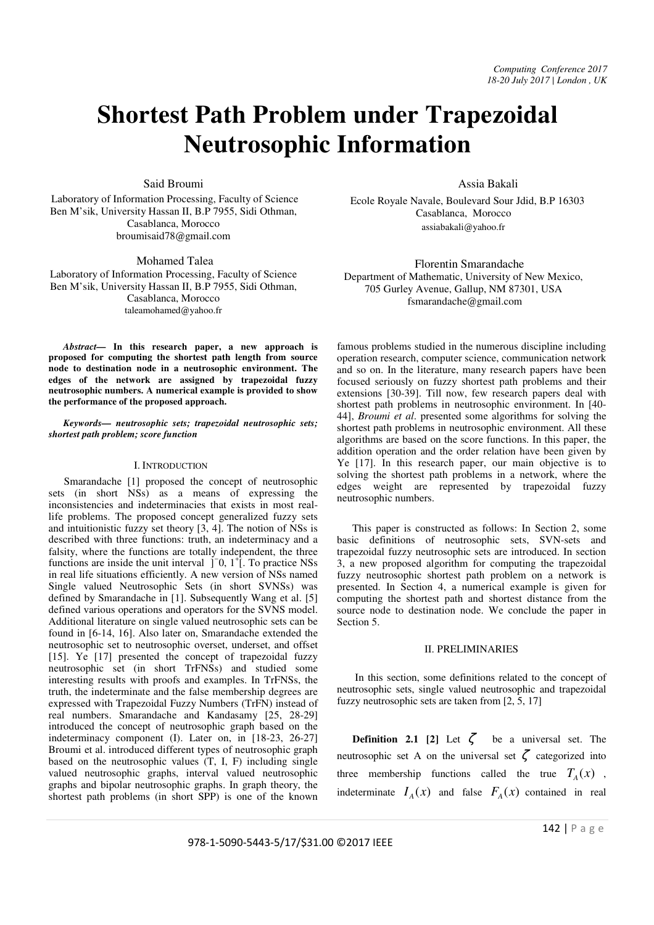# **Shortest Path Problem under Trapezoidal Neutrosophic Information**

Said Broumi

 Laboratory of Information Processing, Faculty of Science Ben M'sik, University Hassan II, B.P 7955, Sidi Othman, Casablanca, Morocco broumisaid78@gmail.com

Mohamed Talea

Laboratory of Information Processing, Faculty of Science Ben M'sik, University Hassan II, B.P 7955, Sidi Othman, Casablanca, Morocco taleamohamed@yahoo.fr

*Abstract***— In this research paper, a new approach is proposed for computing the shortest path length from source node to destination node in a neutrosophic environment. The edges of the network are assigned by trapezoidal fuzzy neutrosophic numbers. A numerical example is provided to show the performance of the proposed approach.** 

*Keywords— neutrosophic sets; trapezoidal neutrosophic sets; shortest path problem; score function* 

## I. INTRODUCTION

Smarandache [1] proposed the concept of neutrosophic sets (in short NSs) as a means of expressing the inconsistencies and indeterminacies that exists in most reallife problems. The proposed concept generalized fuzzy sets and intuitionistic fuzzy set theory [3, 4]. The notion of NSs is described with three functions: truth, an indeterminacy and a falsity, where the functions are totally independent, the three functions are inside the unit interval ]*<sup>−</sup>* 0, 1<sup>+</sup> [. To practice NSs in real life situations efficiently. A new version of NSs named Single valued Neutrosophic Sets (in short SVNSs) was defined by Smarandache in [1]. Subsequently Wang et al. [5] defined various operations and operators for the SVNS model. Additional literature on single valued neutrosophic sets can be found in [6-14, 16]. Also later on, Smarandache extended the neutrosophic set to neutrosophic overset, underset, and offset [15]. Ye [17] presented the concept of trapezoidal fuzzy neutrosophic set (in short TrFNSs) and studied some interesting results with proofs and examples. In TrFNSs, the truth, the indeterminate and the false membership degrees are expressed with Trapezoidal Fuzzy Numbers (TrFN) instead of real numbers. Smarandache and Kandasamy [25, 28-29] introduced the concept of neutrosophic graph based on the indeterminacy component (I). Later on, in [18-23, 26-27] Broumi et al. introduced different types of neutrosophic graph based on the neutrosophic values  $(T, I, F)$  including single valued neutrosophic graphs, interval valued neutrosophic graphs and bipolar neutrosophic graphs. In graph theory, the shortest path problems (in short SPP) is one of the known

Assia Bakali

 Ecole Royale Navale, Boulevard Sour Jdid, B.P 16303 Casablanca, Morocco assiabakali@yahoo.fr

 Florentin Smarandache Department of Mathematic, University of New Mexico, 705 Gurley Avenue, Gallup, NM 87301, USA fsmarandache@gmail.com

famous problems studied in the numerous discipline including operation research, computer science, communication network and so on. In the literature, many research papers have been focused seriously on fuzzy shortest path problems and their extensions [30-39]. Till now, few research papers deal with shortest path problems in neutrosophic environment. In [40- 44], *Broumi et al*. presented some algorithms for solving the shortest path problems in neutrosophic environment. All these algorithms are based on the score functions. In this paper, the addition operation and the order relation have been given by Ye [17]. In this research paper, our main objective is to solving the shortest path problems in a network, where the edges weight are represented by trapezoidal fuzzy neutrosophic numbers.

This paper is constructed as follows: In Section 2, some basic definitions of neutrosophic sets, SVN-sets and trapezoidal fuzzy neutrosophic sets are introduced. In section 3, a new proposed algorithm for computing the trapezoidal fuzzy neutrosophic shortest path problem on a network is presented. In Section 4, a numerical example is given for computing the shortest path and shortest distance from the source node to destination node. We conclude the paper in Section 5.

## II. PRELIMINARIES

 In this section, some definitions related to the concept of neutrosophic sets, single valued neutrosophic and trapezoidal fuzzy neutrosophic sets are taken from [2, 5, 17]

**Definition 2.1** [2] Let  $\zeta$  be a universal set. The neutrosophic set A on the universal set  $\zeta$  categorized into three membership functions called the true  $T_A(x)$ , indeterminate  $I_A(x)$  and false  $F_A(x)$  contained in real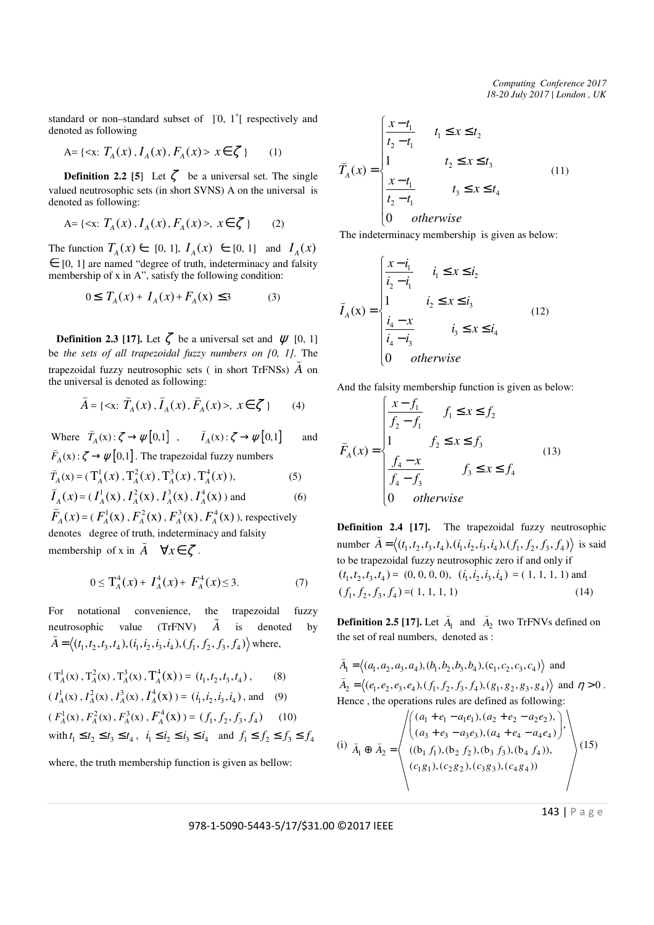*Computing Conference 2017 18-20 July 2017 | London , UK* 

standard or non-standard subset of  $\]0, 1^{\dagger}$  respectively and denoted as following

A=
$$
\{ \langle x, T_A(x), I_A(x), F_A(x) \rangle \} \times \{ \langle x \rangle \} \qquad (1)
$$

**Definition 2.2** [5] Let  $\zeta$  be a universal set. The single valued neutrosophic sets (in short SVNS) A on the universal is denoted as following:

A=
$$
\{ \langle x : T_A(x), I_A(x), F_A(x) \rangle, x \in \zeta \}
$$
 (2)

The function  $T_A(x) \in [0, 1]$ ,  $I_A(x) \in [0, 1]$  and  $I_A(x)$ ∈ [0, 1] are named "degree of truth, indeterminacy and falsity membership of x in A", satisfy the following condition:

$$
0 \le T_A(x) + I_A(x) + F_A(x) \le 3 \tag{3}
$$

**Definition 2.3 [17].** Let  $\zeta$  be a universal set and  $\psi$  [0, 1] be *the sets of all trapezoidal fuzzy numbers on [0, 1]*. The trapezoidal fuzzy neutrosophic sets ( in short TrFNSs) *A* on the universal is denoted as following: ( ( l.  $\overline{\phantom{a}}$ 

$$
\breve{A} = \{ \langle x; \ \breve{T}_A(x), \breve{I}_A(x), \breve{F}_A(x) \rangle, \ x \in \zeta \ \}
$$
 (4)

Where  $\bar{T}_A(x): \zeta \to \psi[0,1]$ (  $\overline{I}_A(x): \zeta \to \psi[0,1]$ ( and  $\overline{F}_A(x): \zeta \to \psi[0,1]$ ( . The trapezoidal fuzzy numbers (

$$
\widetilde{T}_A(x) = (\mathbf{T}_A^1(x), \mathbf{T}_A^2(x), \mathbf{T}_A^3(x), \mathbf{T}_A^4(x)),
$$
\n(5)

$$
\tilde{I}_A(x) = (I_A^1(x), I_A^2(x), I_A^3(x), I_A^4(x)) \text{ and } (6)
$$
  
\n
$$
\tilde{F}(x) = (F_1^1(x), F_2^2(x), F_3^3(x), F_4^4(x)) \text{ separately}
$$

 $\widetilde{F}_A(x) = (F_A^1(x), F_A^2(x), F_A^3(x), F_A^4(x))$ , respectively denotes degree of truth, indeterminacy and falsity ( membership of x in  $A \quad \forall x \in \mathcal{L}$ .

$$
0 \leq T_A^4(x) + I_A^4(x) + F_A^4(x) \leq 3. \tag{7}
$$

For notational convenience, the trapezoidal fuzzy value (TrFNV)  $\tilde{A}$  is denoted by  $A = \langle (t_1, t_2, t_3, t_4), (i_1, i_2, i_3, i_4), (f_1, f_2, f_3, f_4) \rangle$  where, neutrosophic

$$
(T_A^1(x), T_A^2(x), T_A^3(x), T_A^4(x)) = (t_1, t_2, t_3, t_4),
$$
 (8)  
\n
$$
(I_A^1(x), I_A^2(x), I_A^3(x), I_A^4(x)) = (i_1, i_2, i_3, i_4),
$$
 and (9)  
\n
$$
(F_A^1(x), F_A^2(x), F_A^3(x), F_A^4(x)) = (f_1, f_2, f_3, f_4)
$$
 (10)  
\nwith  $t_1 \le t_2 \le t_3 \le t_4$ ,  $i_1 \le i_2 \le i_3 \le i_4$  and  $f_1 \le f_2 \le f_3 \le f_4$ 

where, the truth membership function is given as bellow:

$$
\widetilde{T}_A(x) = \begin{cases}\n\frac{x - t_1}{t_2 - t_1} & t_1 \leq x \leq t_2 \\
1 & t_2 \leq x \leq t_3 \\
\frac{x - t_1}{t_2 - t_1} & t_3 \leq x \leq t_4 \\
0 & \text{otherwise}\n\end{cases} (11)
$$

The indeterminacy membership is given as below:

$$
\breve{I}_A(\mathbf{x}) = \begin{cases}\n\frac{x - i_1}{i_2 - i_1} & i_1 \leq x \leq i_2 \\
1 & i_2 \leq x \leq i_3 \\
\frac{i_4 - x}{i_4 - i_3} & i_3 \leq x \leq i_4 \\
0 & \text{otherwise}\n\end{cases} \tag{12}
$$

And the falsity membership function is given as below:

$$
\widetilde{F}_A(x) = \begin{cases}\n\frac{x - f_1}{f_2 - f_1} & f_1 \le x \le f_2 \\
1 & f_2 \le x \le f_3 \\
\frac{f_4 - x}{f_4 - f_3} & f_3 \le x \le f_4 \\
0 & \text{otherwise}\n\end{cases}
$$
\n(13)

**Definition 2.4 [17].** The trapezoidal fuzzy neutrosophic number  $A = \langle (t_1, t_2, t_3, t_4), (i_1, i_2, i_3, i_4), (f_1, f_2, f_3, f_4) \rangle$  is said to be trapezoidal fuzzy neutrosophic zero if and only if  $(t_1, t_2, t_3, t_4) = (0, 0, 0, 0), (i_1, i_2, i_3, i_4) = (1, 1, 1, 1)$  and  $(f_1, f_2, f_3, f_4) = (1, 1, 1, 1)$  (14)

**Definition 2.5 [17].** Let  $A_1$  and  $A_2$  two TrFNVs defined on the set of real numbers, denoted as :

(

(

$$
\tilde{A}_1 = \langle (a_1, a_2, a_3, a_4), (b_1, b_2, b_3, b_4), (c_1, c_2, c_3, c_4) \rangle \text{ and } \n\tilde{A}_2 = \langle (e_1, e_2, e_3, e_4), (f_1, f_2, f_3, f_4), (g_1, g_2, g_3, g_4) \rangle \text{ and } \eta > 0. \n\text{Hence, the operations rules are defined as following:}
$$

(i) 
$$
\tilde{A}_1 \oplus \tilde{A}_2 = \begin{pmatrix} (a_1 + e_1 - a_1e_1), (a_2 + e_2 - a_2e_2), \\ (a_3 + e_3 - a_3e_3), (a_4 + e_4 - a_4e_4), \\ ((b_1 f_1), (b_2 f_2), (b_3 f_3), (b_4 f_4)), \\ (c_1 g_1), (c_2 g_2), (c_3 g_3), (c_4 g_4) \end{pmatrix}
$$
 (15)

978-1-5090-5443-5/17/\$31.00 ©2017 IEEE

143 | P a g e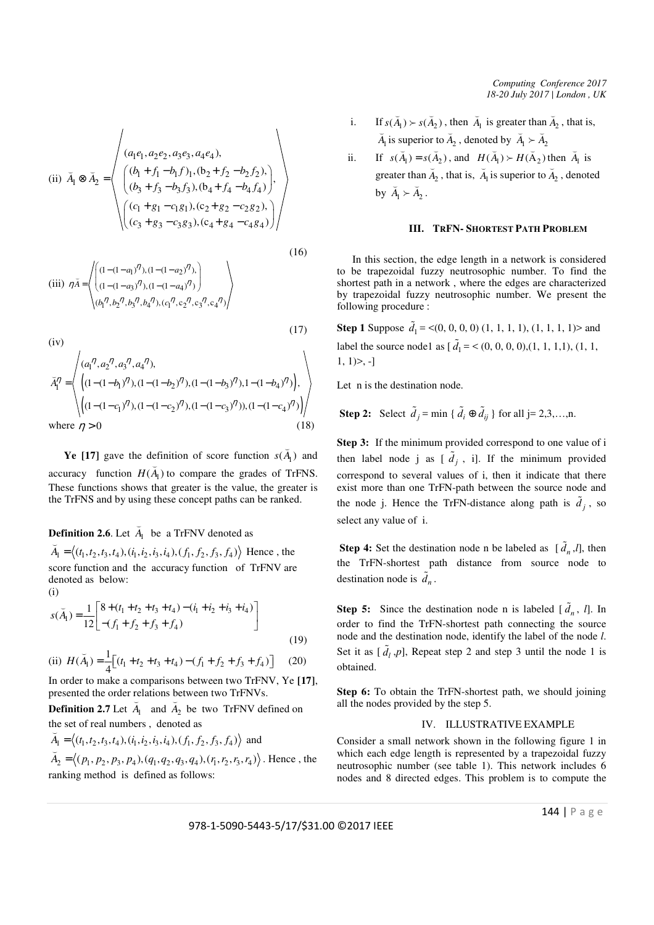*Computing Conference 2017 18-20 July 2017 | London , UK* 

(

(ii)  $a_1 e_1, a_2 e_2, a_3 e_3, a_4 e_4$  $A_1 \otimes \overline{A}_2 = \left\langle \begin{array}{c} (b_1 + b_1 - b_1) b_1, (b_2 + b_2 - b_2) b_2 \\ (b_3 + b_3 - b_3) b_3, (b_4 + b_4 - b_4) b_4 \end{array} \right\rangle$  $x_1 + g_1 - c_1 g_1$ ,  $c_2 + g_2 - c_2 g_2$  $3 + 83 - c_3 83$ ,  $(c_4 + 84 - c_4 84)$  $(a_1e_1, a_2e_2, a_3e_3, a_4e_4),$  $(b_1 + f_1 - b_1 f)_1$ ,  $(b_2 + f_2 - b_2 f_2)$ ,<br>  $(b_3 + f_3 - b_3 f_3)$ ,  $(b_4 + f_4 - b_4 f_4)$ ,  $(c_1+g_1-c_1g_1), (c_2+g_2-c_2g_2),$  $(c_3+g_3-c_3g_3),(c_4+g_4-c_4g_4)$  $a_1e_1, a_2e_2, a_3e_3, a_4e$  $\widetilde{A}_1 \otimes \widetilde{A}_2 = \left\{ \begin{array}{c} (b_1 + f_1 - b_1 f)_1, (b_2 + f_2 - b_2 f_2) \\ (b_3 + f_3 - b_3 f_3), (b_4 + f_4 - b_4 f_4) \end{array} \right.$  $c_1 + g_1 - c_1 g_1$ ,  $(c_2 + g_2 - c_2 g_1)$  $c_3 + g_3 - c_3 g_3$ ,  $(c_4 + g_4 - c_4 g_3)$  $\otimes \widetilde{A}_2 = \left\langle \begin{array}{c} (b_1 + f_1 - b_1 f)_1, (b_2 + f_2 - b_2 f_2), \\ (b_3 + f_3 - b_3 f_3), (b_4 + f_4 - b_4 f_4) \end{array} \right\rangle$  $\begin{pmatrix} (c_1 + g_1 - c_1g_1), (c_2 + g_2 - c_2g_2), \\ (c_3 + g_3 - c_3g_3), (c_4 + g_4 - c_4g_4) \end{pmatrix}$ ( (

(16)

(

(iii) 
$$
\eta \overline{A} = \left\{ \begin{pmatrix} (1 - (1 - a_1)^{\eta}) (1 - (1 - a_2)^{\eta}) \\ (1 - (1 - a_3)^{\eta}) (1 - (1 - a_4)^{\eta}) \\ (b_1^{\eta}, b_2^{\eta}, b_3^{\eta}, b_4^{\eta}) (c_1^{\eta}, c_2^{\eta}, c_3^{\eta}, c_4^{\eta}) \end{pmatrix} \right\}
$$

(17)

(iv)  
\n
$$
\tilde{A}_{I}^{\eta} = \n\begin{pmatrix}\n(a_{1}^{\eta}, a_{2}^{\eta}, a_{3}^{\eta}, a_{4}^{\eta}), & \\
(1 - (1 - b_{1})^{\eta}, (1 - (1 - b_{2})^{\eta}, (1 - (1 - b_{3})^{\eta}), 1 - (1 - b_{4})^{\eta})], \\
(1 - (1 - c_{1})^{\eta}, (1 - (1 - c_{2})^{\eta}, (1 - (1 - c_{3})^{\eta})), (1 - (1 - c_{4})^{\eta})]\n\end{pmatrix}
$$
\nwhere  $\eta > 0$  (18)

**Ye** [17] gave the definition of score function  $s(A_1)$ efinition of score function  $s(A_1)$  and accuracy function  $H(A_1)$  to compare the grades of TrFNS. These functions shows that greater is the value, the greater is the TrFNS and by using these concept paths can be ranked.

**Definition 2.6**. Let  $A_1$  be a TrFNV denoted as

(

 $A_1 = \langle (t_1, t_2, t_3, t_4), (i_1, i_2, i_3, i_4), (f_1, f_2, f_3, f_4) \rangle$  Hence, the score function and the accuracy function of TrFNV are denoted as below: (i)

$$
s(\vec{A}_1) = \frac{1}{12} \begin{bmatrix} 8 + (t_1 + t_2 + t_3 + t_4) - (i_1 + i_2 + i_3 + i_4) \\ -(f_1 + f_2 + f_3 + f_4) \end{bmatrix}
$$
\n
$$
1 - (19)
$$

(ii) 
$$
H(\check{A}_1) = \frac{1}{4} \Big[ (t_1 + t_2 + t_3 + t_4) - (f_1 + f_2 + f_3 + f_4) \Big]
$$
 (20)

In order to make a comparisons between two TrFNV, Ye **[17]**, presented the order relations between two TrFNVs.

**Definition 2.7** Let  $A_1$  and  $A_2$  be two TrFNV defined on the set of real numbers, denoted as

$$
A_1 = \langle (t_1, t_2, t_3, t_4), (i_1, i_2, i_3, i_4), (f_1, f_2, f_3, f_4) \rangle \text{ and }
$$

 $A_2 = \langle (p_1, p_2, p_3, p_4), (q_1, q_2, q_3, q_4), (r_1, r_2, r_3, r_4) \rangle$ . Hence , the ranking method is defined as follows:

- i. If  $s(A_1) > s(A_2)$  $(\overline{A}_1) > s(\overline{A}_2)$ , then  $\overline{A}_1$ is greater than  $A_2$  $f s(A_1) \succ s(A_2)$ , then  $A_1$  is greater than  $A_2$ , that is,  $\overline{A}_1$  is superior to  $\overline{A}_2$ , denoted by  $\overline{A}_1 \succ \overline{A}_2$  $\frac{1}{2}$
- ii. If  $s(A_1) = s(A_2)$ , and  $H(A_1) > H(A_2)$  $(\widetilde{A}_1) \succ H(\widetilde{A}_2)$  then  $\widetilde{A}_1$  is greater than  $A_2$ ( , that is,  $A_1$  $\overline{\phantom{a}}$ is superior to  $A_2$ .<br>ب ter than  $A_2$ , that is,  $A_1$  is superior to  $A_2$ , denoted by  $\breve{A}_1 \succ \breve{A}_2$ .

## **III. TRFN- SHORTEST PATH PROBLEM**

In this section, the edge length in a network is considered to be trapezoidal fuzzy neutrosophic number. To find the shortest path in a network , where the edges are characterized by trapezoidal fuzzy neutrosophic number. We present the following procedure :

**Step 1** Suppose  $\tilde{d}_1 = \langle 0, 0, 0, 0 \rangle$  (1, 1, 1, 1), (1, 1, 1, 1) and label the source node1 as  $[\tilde{d}_1 = < (0, 0, 0, 0), (1, 1, 1, 1), (1, 1, 1)]$  $1, 1)$ ,  $-1$ 

Let n is the destination node.

**Step 2:** Select  $\tilde{d}_j = \min \{ \tilde{d}_i \oplus \tilde{d}_{ij} \}$  for all j= 2,3,...,n.

**Step 3:** If the minimum provided correspond to one value of i then label node j as  $[\tilde{d}_j, i]$ . If the minimum provided correspond to several values of i, then it indicate that there exist more than one TrFN-path between the source node and the node j. Hence the TrFN-distance along path is  $\tilde{d}_j$ , so select any value of i.

**Step 4:** Set the destination node n be labeled as  $[\tilde{d}_n, l]$ , then the TrFN-shortest path distance from source node to destination node is  $\tilde{d}_n$ .

**Step 5:** Since the destination node n is labeled  $[\tilde{d}_n, l]$ . In order to find the TrFN-shortest path connecting the source node and the destination node, identify the label of the node *l*. Set it as  $[\tilde{d}_l, p]$ , Repeat step 2 and step 3 until the node 1 is obtained.

**Step 6:** To obtain the TrFN-shortest path, we should joining all the nodes provided by the step 5.

## IV. ILLUSTRATIVE EXAMPLE

Consider a small network shown in the following figure 1 in which each edge length is represented by a trapezoidal fuzzy neutrosophic number (see table 1). This network includes 6 nodes and 8 directed edges. This problem is to compute the

978-1-5090-5443-5/17/\$31.00 ©2017 IEEE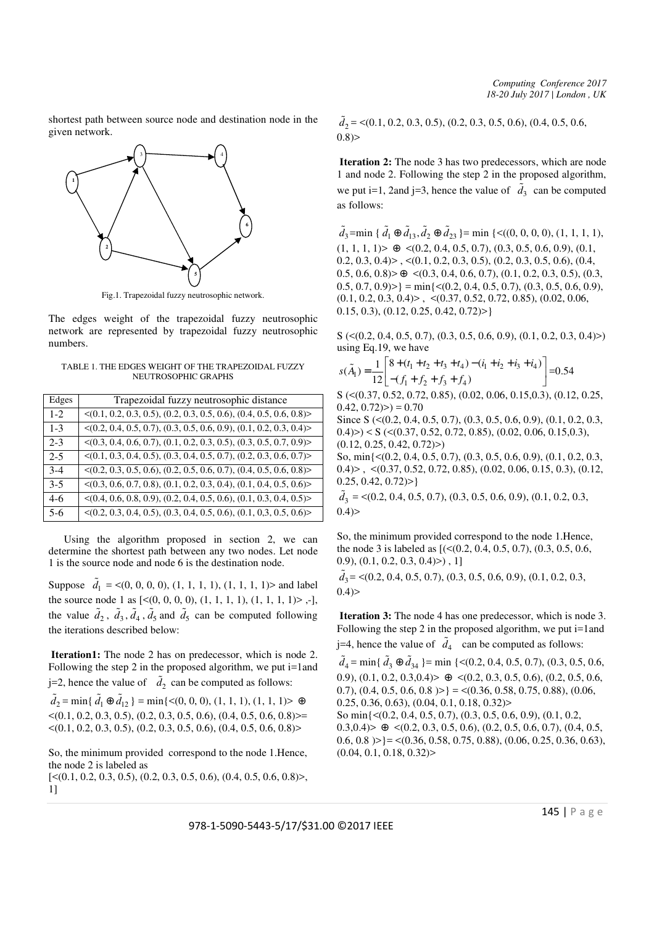shortest path between source node and destination node in the given network.



Fig.1. Trapezoidal fuzzy neutrosophic network.

The edges weight of the trapezoidal fuzzy neutrosophic network are represented by trapezoidal fuzzy neutrosophic numbers.

|                     |  | TABLE 1. THE EDGES WEIGHT OF THE TRAPEZOIDAL FUZZY |  |
|---------------------|--|----------------------------------------------------|--|
| NEUTROSOPHIC GRAPHS |  |                                                    |  |

| Edges   | Trapezoidal fuzzy neutrosophic distance                                            |
|---------|------------------------------------------------------------------------------------|
| $1-2$   | $\langle (0.1, 0.2, 0.3, 0.5), (0.2, 0.3, 0.5, 0.6), (0.4, 0.5, 0.6, 0.8) \rangle$ |
| $1 - 3$ | $\langle (0.2, 0.4, 0.5, 0.7), (0.3, 0.5, 0.6, 0.9), (0.1, 0.2, 0.3, 0.4) \rangle$ |
| $2 - 3$ | $\langle (0.3, 0.4, 0.6, 0.7), (0.1, 0.2, 0.3, 0.5), (0.3, 0.5, 0.7, 0.9) \rangle$ |
| $2 - 5$ | $\langle (0.1, 0.3, 0.4, 0.5), (0.3, 0.4, 0.5, 0.7), (0.2, 0.3, 0.6, 0.7) \rangle$ |
| $3-4$   | $\langle (0.2, 0.3, 0.5, 0.6), (0.2, 0.5, 0.6, 0.7), (0.4, 0.5, 0.6, 0.8) \rangle$ |
| $3-5$   | $\langle (0.3, 0.6, 0.7, 0.8), (0.1, 0.2, 0.3, 0.4), (0.1, 0.4, 0.5, 0.6) \rangle$ |
| $4-6$   | $\langle (0.4, 0.6, 0.8, 0.9), (0.2, 0.4, 0.5, 0.6), (0.1, 0.3, 0.4, 0.5) \rangle$ |
| 5-6     | $\langle (0.2, 0.3, 0.4, 0.5), (0.3, 0.4, 0.5, 0.6), (0.1, 0.3, 0.5, 0.6) \rangle$ |

Using the algorithm proposed in section 2, we can determine the shortest path between any two nodes. Let node 1 is the source node and node 6 is the destination node.

Suppose  $\tilde{d}_1$  = <(0, 0, 0, 0), (1, 1, 1, 1), (1, 1, 1, 1)> and label the source node 1 as  $[<(0, 0, 0, 0), (1, 1, 1, 1), (1, 1, 1, 1)$ , -], the value  $\tilde{d}_2$ ,  $\tilde{d}_3$ ,  $\tilde{d}_4$ ,  $\tilde{d}_5$  and  $\tilde{d}_5$  can be computed following the iterations described below:

 **Iteration1:** The node 2 has on predecessor, which is node 2. Following the step 2 in the proposed algorithm, we put  $i=1$  and  $j=2$ , hence the value of  $\tilde{d}_2$  can be computed as follows:

 $\tilde{d}_2$  = min{  $\tilde{d}_1 \oplus \tilde{d}_{12}$  } = min{ <(0, 0, 0), (1, 1, 1), (1, 1, 1)>  $\oplus$  $\leq$  (0.1, 0.2, 0.3, 0.5), (0.2, 0.3, 0.5, 0.6), (0.4, 0.5, 0.6, 0.8)  $>=$  $\langle (0.1, 0.2, 0.3, 0.5), (0.2, 0.3, 0.5, 0.6), (0.4, 0.5, 0.6, 0.8) \rangle$ 

So, the minimum provided correspond to the node 1.Hence, the node 2 is labeled as  $[\leq (0.1, 0.2, 0.3, 0.5), (0.2, 0.3, 0.5, 0.6), (0.4, 0.5, 0.6, 0.8)\geq$ 1]

 $\tilde{d}_2$  = <(0.1, 0.2, 0.3, 0.5), (0.2, 0.3, 0.5, 0.6), (0.4, 0.5, 0.6,  $(0.8)$ 

 **Iteration 2:** The node 3 has two predecessors, which are node 1 and node 2. Following the step 2 in the proposed algorithm, we put i=1, 2and j=3, hence the value of  $\tilde{d}_3$  can be computed as follows:

 $\tilde{d}_3$ =min {  $\tilde{d}_1 \oplus \tilde{d}_{13}$ ,  $\tilde{d}_2 \oplus \tilde{d}_{23}$ }= min {<((0, 0, 0, 0), (1, 1, 1, 1), (1, 1, 1, 1)> ⊕ <(0.2, 0.4, 0.5, 0.7), (0.3, 0.5, 0.6, 0.9), (0.1,  $(0.2, 0.3, 0.4)$  >  $\leq$   $(0.1, 0.2, 0.3, 0.5)$ ,  $(0.2, 0.3, 0.5, 0.6)$ ,  $(0.4, 0.3, 0.5)$  $(0.5, 0.6, 0.8)$   $\geq \oplus \leq (0.3, 0.4, 0.6, 0.7), (0.1, 0.2, 0.3, 0.5), (0.3, 0.5)$  $(0.5, 0.7, 0.9)$  = min $\{<(0.2, 0.4, 0.5, 0.7), (0.3, 0.5, 0.6, 0.9),\}$  $(0.1, 0.2, 0.3, 0.4)$  > ,  $\leq$  (0.37, 0.52, 0.72, 0.85), (0.02, 0.06,  $0.15, 0.3$ ,  $(0.12, 0.25, 0.42, 0.72)$ 

 $S \left( \langle 0.2, 0.4, 0.5, 0.7 \rangle, (0.3, 0.5, 0.6, 0.9), (0.1, 0.2, 0.3, 0.4) \rangle \right)$ using Eq.19, we have

$$
s(\tilde{A}_1) = \frac{1}{12} \begin{bmatrix} 8 + (t_1 + t_2 + t_3 + t_4) - (i_1 + i_2 + i_3 + i_4) \\ -(f_1 + f_2 + f_3 + f_4) \end{bmatrix} = 0.54
$$

S (<(0.37, 0.52, 0.72, 0.85), (0.02, 0.06, 0.15,0.3), (0.12, 0.25,  $(0.42, 0.72) > 0.70$ 

Since S (<(0.2, 0.4, 0.5, 0.7), (0.3, 0.5, 0.6, 0.9), (0.1, 0.2, 0.3,  $(0.4)$  >  $\leq$   $\leq$   $( $(0.37, 0.52, 0.72, 0.85)$ ,  $(0.02, 0.06, 0.15, 0.3)$ ,$  $(0.12, 0.25, 0.42, 0.72)$ 

So, min{<(0.2, 0.4, 0.5, 0.7), (0.3, 0.5, 0.6, 0.9), (0.1, 0.2, 0.3, 0.4)> , <(0.37, 0.52, 0.72, 0.85), (0.02, 0.06, 0.15, 0.3), (0.12,  $0.25, 0.42, 0.72$  $>$ }

 $\tilde{d}_3$  = <(0.2, 0.4, 0.5, 0.7), (0.3, 0.5, 0.6, 0.9), (0.1, 0.2, 0.3,  $0.4)$ 

So, the minimum provided correspond to the node 1.Hence, the node 3 is labeled as [(<(0.2, 0.4, 0.5, 0.7), (0.3, 0.5, 0.6,  $(0.9), (0.1, 0.2, 0.3, 0.4)$ ), 1]

 $\tilde{d}_3 = \langle (0.2, 0.4, 0.5, 0.7), (0.3, 0.5, 0.6, 0.9), (0.1, 0.2, 0.3,$  $0.4)$ 

 **Iteration 3:** The node 4 has one predecessor, which is node 3. Following the step 2 in the proposed algorithm, we put i=1and  $j=4$ , hence the value of  $\tilde{d}_4$  can be computed as follows:

 $\tilde{d}_4$  = min{  $\tilde{d}_3 \oplus \tilde{d}_{34}$  }= min {<(0.2, 0.4, 0.5, 0.7), (0.3, 0.5, 0.6, 0.9),  $(0.1, 0.2, 0.3, 0.4)$   $\geq$   $\in$   $(0.2, 0.3, 0.5, 0.6), (0.2, 0.5, 0.6,$ 0.7),  $(0.4, 0.5, 0.6, 0.8) >$ } = < $(0.36, 0.58, 0.75, 0.88)$ ,  $(0.06, 0.75, 0.88)$ 0.25, 0.36, 0.63), (0.04, 0.1, 0.18, 0.32)> So min{<(0.2, 0.4, 0.5, 0.7), (0.3, 0.5, 0.6, 0.9), (0.1, 0.2,  $(0.3,0.4)$   $\geq \oplus \leq (0.2, 0.3, 0.5, 0.6), (0.2, 0.5, 0.6, 0.7), (0.4, 0.5,$  $(0.6, 0.8) >$ } = < $(0.36, 0.58, 0.75, 0.88)$ ,  $(0.06, 0.25, 0.36, 0.63)$ ,  $(0.04, 0.1, 0.18, 0.32)$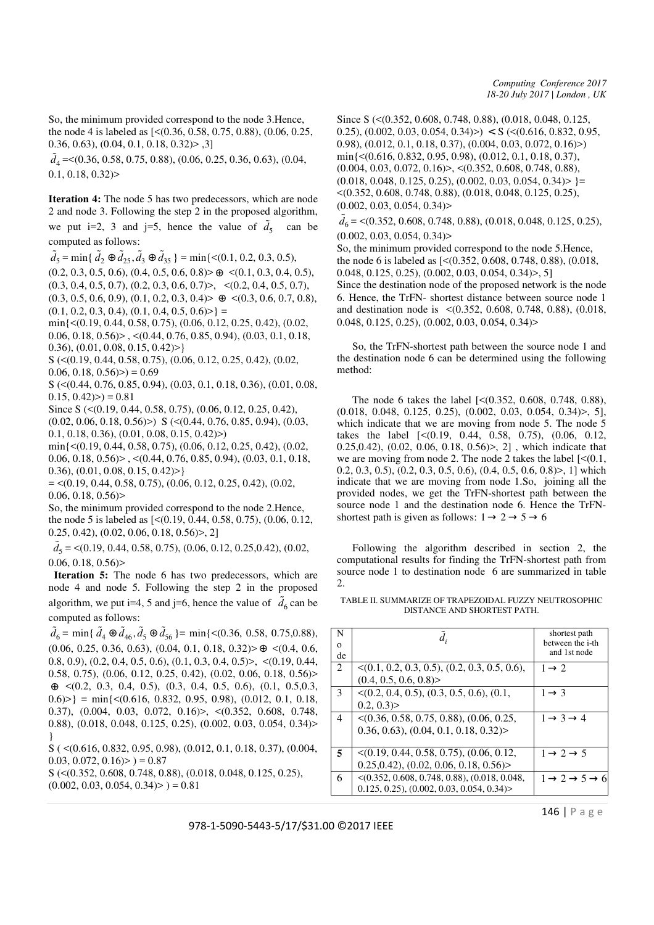So, the minimum provided correspond to the node 3.Hence, the node 4 is labeled as [<(0.36, 0.58, 0.75, 0.88), (0.06, 0.25,  $0.36, 0.63$ ,  $(0.04, 0.1, 0.18, 0.32)$  >  $,3$ ]

 $\tilde{d}_4 = \langle 0.36, 0.58, 0.75, 0.88, 0.06, 0.25, 0.36, 0.63, 0.04,$  $0.1, 0.18, 0.32$ 

**Iteration 4:** The node 5 has two predecessors, which are node 2 and node 3. Following the step 2 in the proposed algorithm, we put i=2, 3 and j=5, hence the value of  $\tilde{d}_5$  can be

computed as follows:

 $\tilde{d}_5$  = min{  $\tilde{d}_2 \oplus \tilde{d}_{25}$ ,  $\tilde{d}_3 \oplus \tilde{d}_{35}$  } = min{ < (0.1, 0.2, 0.3, 0.5),

 $(0.2, 0.3, 0.5, 0.6), (0.4, 0.5, 0.6, 0.8) > \oplus \langle (0.1, 0.3, 0.4, 0.5),$ 

 $(0.3, 0.4, 0.5, 0.7), (0.2, 0.3, 0.6, 0.7)$ ,  $\leq (0.2, 0.4, 0.5, 0.7)$ ,

 $(0.3, 0.5, 0.6, 0.9), (0.1, 0.2, 0.3, 0.4)$   $\geq \oplus \leq (0.3, 0.6, 0.7, 0.8)$ ,  $(0.1, 0.2, 0.3, 0.4), (0.1, 0.4, 0.5, 0.6)$  =

min{<(0.19, 0.44, 0.58, 0.75), (0.06, 0.12, 0.25, 0.42), (0.02,

0.06, 0.18, 0.56 $\geq$ , <(0.44, 0.76, 0.85, 0.94), (0.03, 0.1, 0.18, 0.36),  $(0.01, 0.08, 0.15, 0.42)$ 

S (<(0.19, 0.44, 0.58, 0.75), (0.06, 0.12, 0.25, 0.42), (0.02,  $(0.06, 0.18, 0.56) > 0.69$ 

S (<(0.44, 0.76, 0.85, 0.94), (0.03, 0.1, 0.18, 0.36), (0.01, 0.08,  $(0.15, 0.42) > 0.81$ 

Since S (<(0.19, 0.44, 0.58, 0.75), (0.06, 0.12, 0.25, 0.42),

 $(0.02, 0.06, 0.18, 0.56)$  > S (< $(0.44, 0.76, 0.85, 0.94)$ ,  $(0.03, 0.03, 0.03)$ 

0.1, 0.18, 0.36), (0.01, 0.08, 0.15, 0.42)>)

min{<(0.19, 0.44, 0.58, 0.75), (0.06, 0.12, 0.25, 0.42), (0.02, 0.06, 0.18, 0.56)> , <(0.44, 0.76, 0.85, 0.94), (0.03, 0.1, 0.18, 0.36), (0.01, 0.08, 0.15, 0.42)>}

 $=$  <(0.19, 0.44, 0.58, 0.75), (0.06, 0.12, 0.25, 0.42), (0.02,  $(0.06, 0.18, 0.56)$ 

So, the minimum provided correspond to the node 2.Hence, the node 5 is labeled as [<(0.19, 0.44, 0.58, 0.75), (0.06, 0.12, 0.25, 0.42), (0.02, 0.06, 0.18, 0.56)>, 2]

 $\tilde{d}_5$  = <(0.19, 0.44, 0.58, 0.75), (0.06, 0.12, 0.25, 0.42), (0.02,  $0.06, 0.18, 0.56$ 

 **Iteration 5:** The node 6 has two predecessors, which are node 4 and node 5. Following the step 2 in the proposed algorithm, we put i=4, 5 and j=6, hence the value of  $\tilde{d}_6$  can be computed as follows:

 $\tilde{d}_6$  = min{  $\tilde{d}_4 \oplus \tilde{d}_{46}, \tilde{d}_5 \oplus \tilde{d}_{56}$  }= min{ < (0.36, 0.58, 0.75, 0.88), (0.06, 0.25, 0.36, 0.63), (0.04, 0.1, 0.18, 0.32)> ⊕ <(0.4, 0.6, 0.8, 0.9), (0.2, 0.4, 0.5, 0.6), (0.1, 0.3, 0.4, 0.5)>, <(0.19, 0.44, 0.58, 0.75), (0.06, 0.12, 0.25, 0.42), (0.02, 0.06, 0.18, 0.56)>  $\oplus \langle (0.2, 0.3, 0.4, 0.5), (0.3, 0.4, 0.5, 0.6), (0.1, 0.5, 0.3,$  $(0.6)$  = min $\{<(0.616, 0.832, 0.95, 0.98), (0.012, 0.1, 0.18, 0.012)$ 0.37), (0.004, 0.03, 0.072, 0.16)>, <(0.352, 0.608, 0.748, 0.88), (0.018, 0.048, 0.125, 0.25), (0.002, 0.03, 0.054, 0.34)> }

S ( <(0.616, 0.832, 0.95, 0.98), (0.012, 0.1, 0.18, 0.37), (0.004,  $(0.03, 0.072, 0.16) > 0.87$ 

S (<(0.352, 0.608, 0.748, 0.88), (0.018, 0.048, 0.125, 0.25),  $(0.002, 0.03, 0.054, 0.34) > 0.81$ 

Since S (<(0.352, 0.608, 0.748, 0.88), (0.018, 0.048, 0.125, 0.25),  $(0.002, 0.03, 0.054, 0.34)$  >  $\leq S \leq (0.616, 0.832, 0.95, 0.054, 0.054)$ 0.98), (0.012, 0.1, 0.18, 0.37), (0.004, 0.03, 0.072, 0.16)>) min{<(0.616, 0.832, 0.95, 0.98), (0.012, 0.1, 0.18, 0.37), (0.004, 0.03, 0.072, 0.16)>, <(0.352, 0.608, 0.748, 0.88),  $(0.018, 0.048, 0.125, 0.25), (0.002, 0.03, 0.054, 0.34)$  = <(0.352, 0.608, 0.748, 0.88), (0.018, 0.048, 0.125, 0.25),  $(0.002, 0.03, 0.054, 0.34)$ 

 $\tilde{d}_6$  = <(0.352, 0.608, 0.748, 0.88), (0.018, 0.048, 0.125, 0.25),  $(0.002, 0.03, 0.054, 0.34)$ 

So, the minimum provided correspond to the node 5.Hence, the node 6 is labeled as [<(0.352, 0.608, 0.748, 0.88), (0.018, 0.048, 0.125, 0.25), (0.002, 0.03, 0.054, 0.34)>, 5] Since the destination node of the proposed network is the node 6. Hence, the TrFN- shortest distance between source node 1 and destination node is <(0.352, 0.608, 0.748, 0.88), (0.018, 0.048, 0.125, 0.25), (0.002, 0.03, 0.054, 0.34)>

So, the TrFN-shortest path between the source node 1 and the destination node 6 can be determined using the following method:

The node 6 takes the label [<(0.352, 0.608, 0.748, 0.88), (0.018, 0.048, 0.125, 0.25), (0.002, 0.03, 0.054, 0.34)>, 5], which indicate that we are moving from node 5. The node 5 takes the label [<(0.19, 0.44, 0.58, 0.75), (0.06, 0.12, 0.25,0.42), (0.02, 0.06, 0.18, 0.56)>, 2] , which indicate that we are moving from node 2. The node 2 takes the label  $\lceil \leq (0.1, 1) \rceil$ 0.2, 0.3, 0.5), (0.2, 0.3, 0.5, 0.6), (0.4, 0.5, 0.6, 0.8)>, 1] which indicate that we are moving from node 1.So, joining all the provided nodes, we get the TrFN-shortest path between the source node 1 and the destination node 6. Hence the TrFNshortest path is given as follows:  $1 \rightarrow 2 \rightarrow 5 \rightarrow 6$ 

Following the algorithm described in section 2, the computational results for finding the TrFN-shortest path from source node 1 to destination node 6 are summarized in table 2.

TABLE II. SUMMARIZE OF TRAPEZOIDAL FUZZY NEUTROSOPHIC DISTANCE AND SHORTEST PATH.

| N<br>$\Omega$  |                                                       | shortest path<br>between the <i>i</i> -th     |
|----------------|-------------------------------------------------------|-----------------------------------------------|
| de             |                                                       | and 1st node                                  |
| 2              | $\langle (0.1, 0.2, 0.3, 0.5), (0.2, 0.3, 0.5, 0.6),$ | $1 \rightarrow 2$                             |
|                | (0.4, 0.5, 0.6, 0.8)                                  |                                               |
| $\mathcal{E}$  | $\leq$ (0.2, 0.4, 0.5), (0.3, 0.5, 0.6), (0.1,        | $1 \rightarrow 3$                             |
|                | 0.2, 0.3                                              |                                               |
| $\overline{4}$ | $\leq$ (0.36, 0.58, 0.75, 0.88), (0.06, 0.25,         | $1 \rightarrow 3 \rightarrow 4$               |
|                | (0.36, 0.63), (0.04, 0.1, 0.18, 0.32)                 |                                               |
|                |                                                       |                                               |
| 5              | $\leq$ (0.19, 0.44, 0.58, 0.75), (0.06, 0.12,         | $1 \rightarrow 2 \rightarrow 5$               |
|                | $(0.25, 0.42), (0.02, 0.06, 0.18, 0.56)$              |                                               |
| 6              | $\leq$ (0.352, 0.608, 0.748, 0.88), (0.018, 0.048,    | $1 \rightarrow 2 \rightarrow 5 \rightarrow 6$ |
|                | $(0.125, 0.25), (0.002, 0.03, 0.054, 0.34)$           |                                               |

146 | P a g e

978-1-5090-5443-5/17/\$31.00 ©2017 IEEE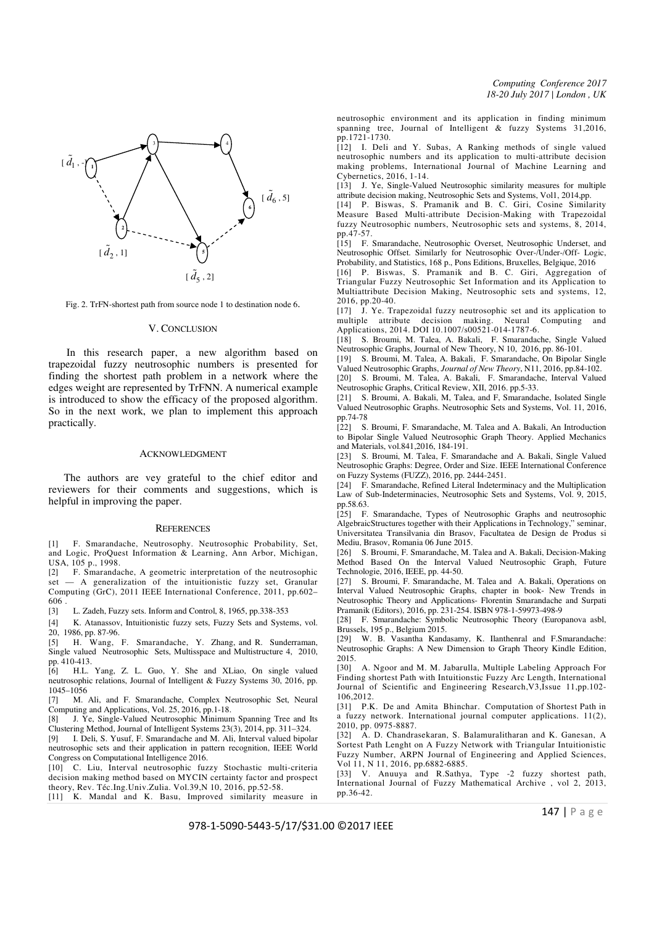

Fig. 2. TrFN-shortest path from source node 1 to destination node 6.

#### V. CONCLUSION

 In this research paper, a new algorithm based on trapezoidal fuzzy neutrosophic numbers is presented for finding the shortest path problem in a network where the edges weight are represented by TrFNN. A numerical example is introduced to show the efficacy of the proposed algorithm. So in the next work, we plan to implement this approach practically.

### ACKNOWLEDGMENT

The authors are vey grateful to the chief editor and reviewers for their comments and suggestions, which is helpful in improving the paper.

#### **REFERENCES**

[1] F. Smarandache, Neutrosophy. Neutrosophic Probability, Set, and Logic, ProQuest Information & Learning, Ann Arbor, Michigan, USA, 105 p., 1998.

[2] F. Smarandache, A geometric interpretation of the neutrosophic set — A generalization of the intuitionistic fuzzy set, Granular Computing (GrC), 2011 IEEE International Conference, 2011, pp.602–  $\frac{606}{131}$ 

L. Zadeh, Fuzzy sets. Inform and Control, 8, 1965, pp.338-353

[4] K. Atanassov, Intuitionistic fuzzy sets, Fuzzy Sets and Systems, vol. 20, 1986, pp. 87-96.

[5] H. Wang, F. Smarandache, Y. Zhang, and R. Sunderraman, Single valued Neutrosophic Sets, Multisspace and Multistructure 4, 2010, pp. 410-413.

[6] H.L. Yang, Z. L. Guo, Y. She and XLiao, On single valued neutrosophic relations, Journal of Intelligent & Fuzzy Systems 30, 2016, pp.  $1045-1056$ <br>[7] M.

[7] M. Ali, and F. Smarandache, Complex Neutrosophic Set, Neural Computing and Applications, Vol. 25, 2016, pp.1-18.

[8] J. Ye, Single-Valued Neutrosophic Minimum Spanning Tree and Its Clustering Method, Journal of Intelligent Systems 23(3), 2014, pp. 311–324.

[9] I. Deli, S. Yusuf, F. Smarandache and M. Ali, Interval valued bipolar neutrosophic sets and their application in pattern recognition, IEEE World Congress on Computational Intelligence 2016.

[10] C. Liu, Interval neutrosophic fuzzy Stochastic multi-criteria decision making method based on MYCIN certainty factor and prospect theory, Rev. Téc.Ing.Univ.Zulia. Vol.39,N 10, 2016, pp.52-58.

[11] K. Mandal and K. Basu, Improved similarity measure in

neutrosophic environment and its application in finding minimum spanning tree, Journal of Intelligent & fuzzy Systems 31,2016, pp.1721-1730.

[12] I. Deli and Y. Subas, A Ranking methods of single valued neutrosophic numbers and its application to multi-attribute decision making problems, International Journal of Machine Learning and Cybernetics, 2016, 1-14.

[13] J. Ye, Single-Valued Neutrosophic similarity measures for multiple attribute decision making, Neutrosophic Sets and Systems, Vol1, 2014,pp.

[14] P. Biswas, S. Pramanik and B. C. Giri, Cosine Similarity Measure Based Multi-attribute Decision-Making with Trapezoidal fuzzy Neutrosophic numbers, Neutrosophic sets and systems, 8, 2014, pp.47-57.

[15] F. Smarandache, Neutrosophic Overset, Neutrosophic Underset, and Neutrosophic Offset. Similarly for Neutrosophic Over-/Under-/Off- Logic, Probability, and Statistics, 168 p., Pons Editions, Bruxelles, Belgique, 2016

[16] P. Biswas, S. Pramanik and B. C. Giri, Aggregation of Triangular Fuzzy Neutrosophic Set Information and its Application to Multiattribute Decision Making, Neutrosophic sets and systems, 12, 2016, pp.20-40.

[17] J. Ye. Trapezoidal fuzzy neutrosophic set and its application to multiple attribute decision making. Neural Computing and Applications, 2014. DOI 10.1007/s00521-014-1787-6.

[18] S. Broumi, M. Talea, A. Bakali, F. Smarandache, Single Valued Neutrosophic Graphs, Journal of New Theory, N 10, 2016, pp. 86-101.

[19] S. Broumi, M. Talea, A. Bakali, F. Smarandache, On Bipolar Single Valued Neutrosophic Graphs, *Journal of New Theory*, N11, 2016, pp.84-102.

[20] S. Broumi, M. Talea, A. Bakali, F. Smarandache, Interval Valued Neutrosophic Graphs, Critical Review, XII, 2016. pp.5-33.

[21] S. Broumi, A. Bakali, M, Talea, and F, Smarandache, Isolated Single Valued Neutrosophic Graphs. Neutrosophic Sets and Systems, Vol. 11, 2016, pp.74-78

[22] S. Broumi, F. Smarandache, M. Talea and A. Bakali, An Introduction to Bipolar Single Valued Neutrosophic Graph Theory. Applied Mechanics and Materials, vol.841,2016, 184-191.

[23] S. Broumi, M. Talea, F. Smarandache and A. Bakali, Single Valued Neutrosophic Graphs: Degree, Order and Size. IEEE International Conference on Fuzzy Systems (FUZZ), 2016, pp. 2444-2451.

[24] F. Smarandache, Refined Literal Indeterminacy and the Multiplication Law of Sub-Indeterminacies, Neutrosophic Sets and Systems, Vol. 9, 2015, pp.58.63.

[25] F. Smarandache, Types of Neutrosophic Graphs and neutrosophic AlgebraicStructures together with their Applications in Technology," seminar, Universitatea Transilvania din Brasov, Facultatea de Design de Produs si Mediu, Brasov, Romania 06 June 2015.

[26] S. Broumi, F. Smarandache, M. Talea and A. Bakali, Decision-Making Method Based On the Interval Valued Neutrosophic Graph, Future Technologie, 2016, IEEE, pp. 44-50.

[27] S. Broumi, F. Smarandache, M. Talea and A. Bakali, Operations on Interval Valued Neutrosophic Graphs, chapter in book- New Trends in Neutrosophic Theory and Applications- Florentin Smarandache and Surpati Pramanik (Editors), 2016, pp. 231-254. ISBN 978-1-59973-498-9

[28] F. Smarandache: Symbolic Neutrosophic Theory (Europanova asbl, Brussels, 195 p., Belgium 2015.

[29] W. B. Vasantha Kandasamy, K. Ilanthenral and F.Smarandache: Neutrosophic Graphs: A New Dimension to Graph Theory Kindle Edition, 2015.

[30] A. Ngoor and M. M. Jabarulla, Multiple Labeling Approach For Finding shortest Path with Intuitionstic Fuzzy Arc Length, International Journal of Scientific and Engineering Research,V3,Issue 11,pp.102- 106,2012.

[31] P.K. De and Amita Bhinchar. Computation of Shortest Path in a fuzzy network. International journal computer applications. 11(2), 2010, pp. 0975-8887.

[32] A. D. Chandrasekaran, S. Balamuralitharan and K. Ganesan, A Sortest Path Lenght on A Fuzzy Network with Triangular Intuitionistic Fuzzy Number, ARPN Journal of Engineering and Applied Sciences, Vol 11, N 11, 2016, pp.6882-6885.

[33] V. Anuuya and R.Sathya, Type -2 fuzzy shortest path, International Journal of Fuzzy Mathematical Archive , vol 2, 2013, pp.36-42.